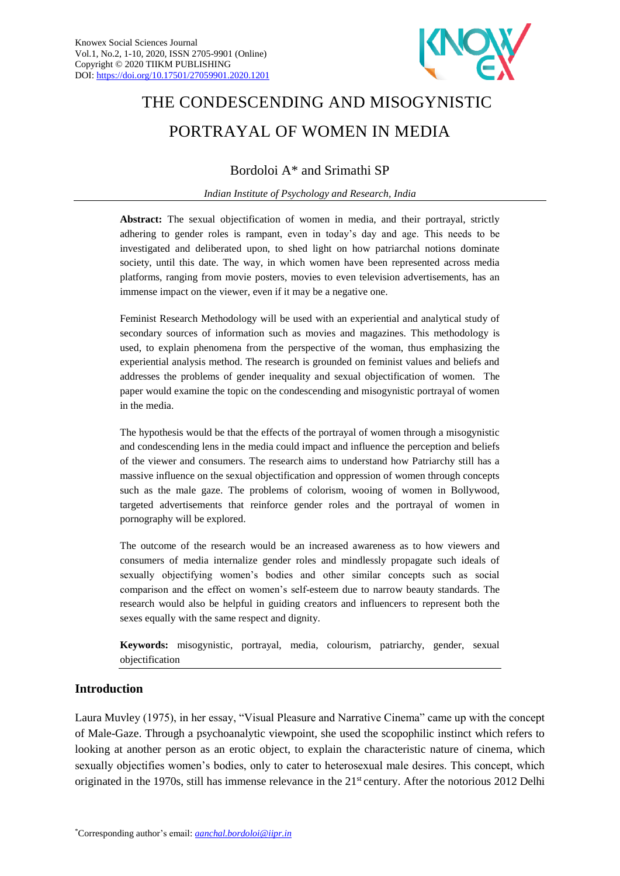

# THE CONDESCENDING AND MISOGYNISTIC PORTRAYAL OF WOMEN IN MEDIA

Bordoloi A\* and Srimathi SP

*Indian Institute of Psychology and Research, India*

**Abstract:** The sexual objectification of women in media, and their portrayal, strictly adhering to gender roles is rampant, even in today's day and age. This needs to be investigated and deliberated upon, to shed light on how patriarchal notions dominate society, until this date. The way, in which women have been represented across media platforms, ranging from movie posters, movies to even television advertisements, has an immense impact on the viewer, even if it may be a negative one.

Feminist Research Methodology will be used with an experiential and analytical study of secondary sources of information such as movies and magazines. This methodology is used, to explain phenomena from the perspective of the woman, thus emphasizing the experiential analysis method. The research is grounded on feminist values and beliefs and addresses the problems of gender inequality and sexual objectification of women. The paper would examine the topic on the condescending and misogynistic portrayal of women in the media.

The hypothesis would be that the effects of the portrayal of women through a misogynistic and condescending lens in the media could impact and influence the perception and beliefs of the viewer and consumers. The research aims to understand how Patriarchy still has a massive influence on the sexual objectification and oppression of women through concepts such as the male gaze. The problems of colorism, wooing of women in Bollywood, targeted advertisements that reinforce gender roles and the portrayal of women in pornography will be explored.

The outcome of the research would be an increased awareness as to how viewers and consumers of media internalize gender roles and mindlessly propagate such ideals of sexually objectifying women's bodies and other similar concepts such as social comparison and the effect on women's self-esteem due to narrow beauty standards. The research would also be helpful in guiding creators and influencers to represent both the sexes equally with the same respect and dignity.

**Keywords:** misogynistic, portrayal, media, colourism, patriarchy, gender, sexual objectification

# **Introduction**

Laura Muvley (1975), in her essay, "Visual Pleasure and Narrative Cinema" came up with the concept of Male-Gaze. Through a psychoanalytic viewpoint, she used the scopophilic instinct which refers to looking at another person as an erotic object, to explain the characteristic nature of cinema, which sexually objectifies women's bodies, only to cater to heterosexual male desires. This concept, which originated in the 1970s, still has immense relevance in the 21<sup>st</sup> century. After the notorious 2012 Delhi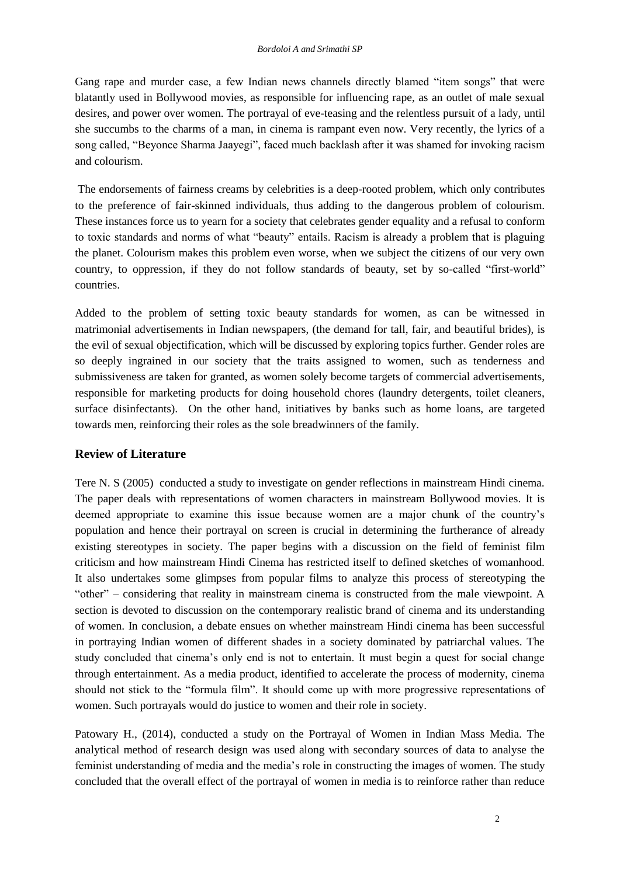Gang rape and murder case, a few Indian news channels directly blamed "item songs" that were blatantly used in Bollywood movies, as responsible for influencing rape, as an outlet of male sexual desires, and power over women. The portrayal of eve-teasing and the relentless pursuit of a lady, until she succumbs to the charms of a man, in cinema is rampant even now. Very recently, the lyrics of a song called, "Beyonce Sharma Jaayegi", faced much backlash after it was shamed for invoking racism and colourism.

The endorsements of fairness creams by celebrities is a deep-rooted problem, which only contributes to the preference of fair-skinned individuals, thus adding to the dangerous problem of colourism. These instances force us to yearn for a society that celebrates gender equality and a refusal to conform to toxic standards and norms of what "beauty" entails. Racism is already a problem that is plaguing the planet. Colourism makes this problem even worse, when we subject the citizens of our very own country, to oppression, if they do not follow standards of beauty, set by so-called "first-world" countries.

Added to the problem of setting toxic beauty standards for women, as can be witnessed in matrimonial advertisements in Indian newspapers, (the demand for tall, fair, and beautiful brides), is the evil of sexual objectification, which will be discussed by exploring topics further. Gender roles are so deeply ingrained in our society that the traits assigned to women, such as tenderness and submissiveness are taken for granted, as women solely become targets of commercial advertisements, responsible for marketing products for doing household chores (laundry detergents, toilet cleaners, surface disinfectants). On the other hand, initiatives by banks such as home loans, are targeted towards men, reinforcing their roles as the sole breadwinners of the family.

# **Review of Literature**

Tere N. S (2005) conducted a study to investigate on gender reflections in mainstream Hindi cinema. The paper deals with representations of women characters in mainstream Bollywood movies. It is deemed appropriate to examine this issue because women are a major chunk of the country's population and hence their portrayal on screen is crucial in determining the furtherance of already existing stereotypes in society. The paper begins with a discussion on the field of feminist film criticism and how mainstream Hindi Cinema has restricted itself to defined sketches of womanhood. It also undertakes some glimpses from popular films to analyze this process of stereotyping the "other" – considering that reality in mainstream cinema is constructed from the male viewpoint. A section is devoted to discussion on the contemporary realistic brand of cinema and its understanding of women. In conclusion, a debate ensues on whether mainstream Hindi cinema has been successful in portraying Indian women of different shades in a society dominated by patriarchal values. The study concluded that cinema's only end is not to entertain. It must begin a quest for social change through entertainment. As a media product, identified to accelerate the process of modernity, cinema should not stick to the "formula film". It should come up with more progressive representations of women. Such portrayals would do justice to women and their role in society.

Patowary H., (2014), conducted a study on the Portrayal of Women in Indian Mass Media. The analytical method of research design was used along with secondary sources of data to analyse the feminist understanding of media and the media's role in constructing the images of women. The study concluded that the overall effect of the portrayal of women in media is to reinforce rather than reduce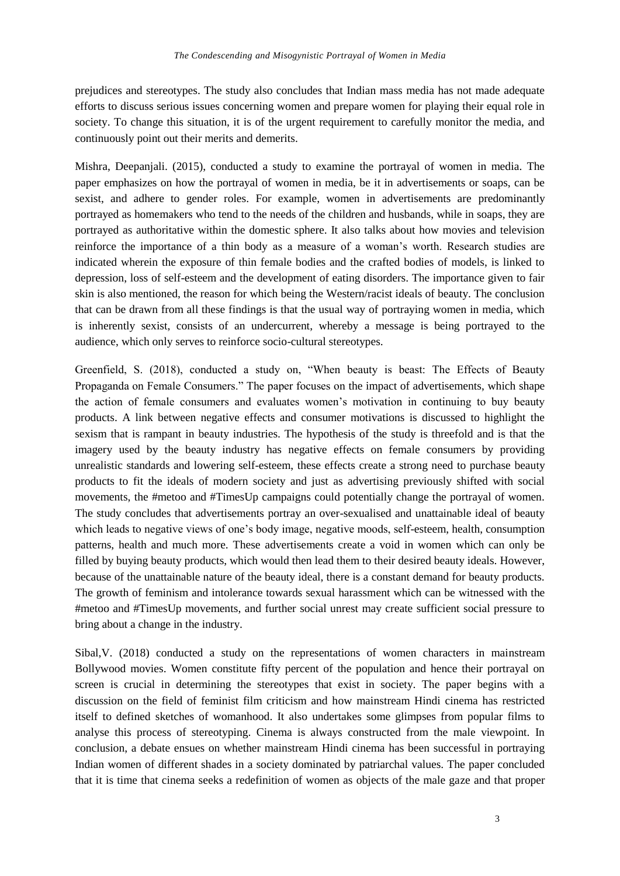prejudices and stereotypes. The study also concludes that Indian mass media has not made adequate efforts to discuss serious issues concerning women and prepare women for playing their equal role in society. To change this situation, it is of the urgent requirement to carefully monitor the media, and continuously point out their merits and demerits.

Mishra, Deepanjali. (2015), conducted a study to examine the portrayal of women in media. The paper emphasizes on how the portrayal of women in media, be it in advertisements or soaps, can be sexist, and adhere to gender roles. For example, women in advertisements are predominantly portrayed as homemakers who tend to the needs of the children and husbands, while in soaps, they are portrayed as authoritative within the domestic sphere. It also talks about how movies and television reinforce the importance of a thin body as a measure of a woman's worth. Research studies are indicated wherein the exposure of thin female bodies and the crafted bodies of models, is linked to depression, loss of self-esteem and the development of eating disorders. The importance given to fair skin is also mentioned, the reason for which being the Western/racist ideals of beauty. The conclusion that can be drawn from all these findings is that the usual way of portraying women in media, which is inherently sexist, consists of an undercurrent, whereby a message is being portrayed to the audience, which only serves to reinforce socio-cultural stereotypes.

Greenfield, S. (2018), conducted a study on, "When beauty is beast: The Effects of Beauty Propaganda on Female Consumers." The paper focuses on the impact of advertisements, which shape the action of female consumers and evaluates women's motivation in continuing to buy beauty products. A link between negative effects and consumer motivations is discussed to highlight the sexism that is rampant in beauty industries. The hypothesis of the study is threefold and is that the imagery used by the beauty industry has negative effects on female consumers by providing unrealistic standards and lowering self-esteem, these effects create a strong need to purchase beauty products to fit the ideals of modern society and just as advertising previously shifted with social movements, the #metoo and #TimesUp campaigns could potentially change the portrayal of women. The study concludes that advertisements portray an over-sexualised and unattainable ideal of beauty which leads to negative views of one's body image, negative moods, self-esteem, health, consumption patterns, health and much more. These advertisements create a void in women which can only be filled by buying beauty products, which would then lead them to their desired beauty ideals. However, because of the unattainable nature of the beauty ideal, there is a constant demand for beauty products. The growth of feminism and intolerance towards sexual harassment which can be witnessed with the #metoo and #TimesUp movements, and further social unrest may create sufficient social pressure to bring about a change in the industry.

Sibal,V. (2018) conducted a study on the representations of women characters in mainstream Bollywood movies. Women constitute fifty percent of the population and hence their portrayal on screen is crucial in determining the stereotypes that exist in society. The paper begins with a discussion on the field of feminist film criticism and how mainstream Hindi cinema has restricted itself to defined sketches of womanhood. It also undertakes some glimpses from popular films to analyse this process of stereotyping. Cinema is always constructed from the male viewpoint. In conclusion, a debate ensues on whether mainstream Hindi cinema has been successful in portraying Indian women of different shades in a society dominated by patriarchal values. The paper concluded that it is time that cinema seeks a redefinition of women as objects of the male gaze and that proper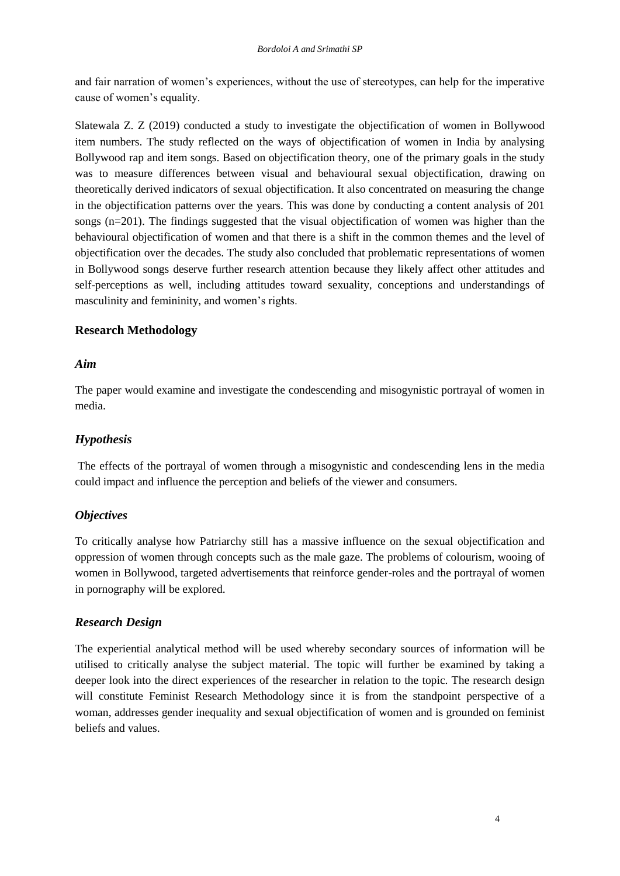and fair narration of women's experiences, without the use of stereotypes, can help for the imperative cause of women's equality.

Slatewala Z. Z (2019) conducted a study to investigate the objectification of women in Bollywood item numbers. The study reflected on the ways of objectification of women in India by analysing Bollywood rap and item songs. Based on objectification theory, one of the primary goals in the study was to measure differences between visual and behavioural sexual objectification, drawing on theoretically derived indicators of sexual objectification. It also concentrated on measuring the change in the objectification patterns over the years. This was done by conducting a content analysis of 201 songs (n=201). The findings suggested that the visual objectification of women was higher than the behavioural objectification of women and that there is a shift in the common themes and the level of objectification over the decades. The study also concluded that problematic representations of women in Bollywood songs deserve further research attention because they likely affect other attitudes and self-perceptions as well, including attitudes toward sexuality, conceptions and understandings of masculinity and femininity, and women's rights.

# **Research Methodology**

## *Aim*

The paper would examine and investigate the condescending and misogynistic portrayal of women in media.

# *Hypothesis*

The effects of the portrayal of women through a misogynistic and condescending lens in the media could impact and influence the perception and beliefs of the viewer and consumers.

# *Objectives*

To critically analyse how Patriarchy still has a massive influence on the sexual objectification and oppression of women through concepts such as the male gaze. The problems of colourism, wooing of women in Bollywood, targeted advertisements that reinforce gender-roles and the portrayal of women in pornography will be explored.

# *Research Design*

The experiential analytical method will be used whereby secondary sources of information will be utilised to critically analyse the subject material. The topic will further be examined by taking a deeper look into the direct experiences of the researcher in relation to the topic. The research design will constitute Feminist Research Methodology since it is from the standpoint perspective of a woman, addresses gender inequality and sexual objectification of women and is grounded on feminist beliefs and values.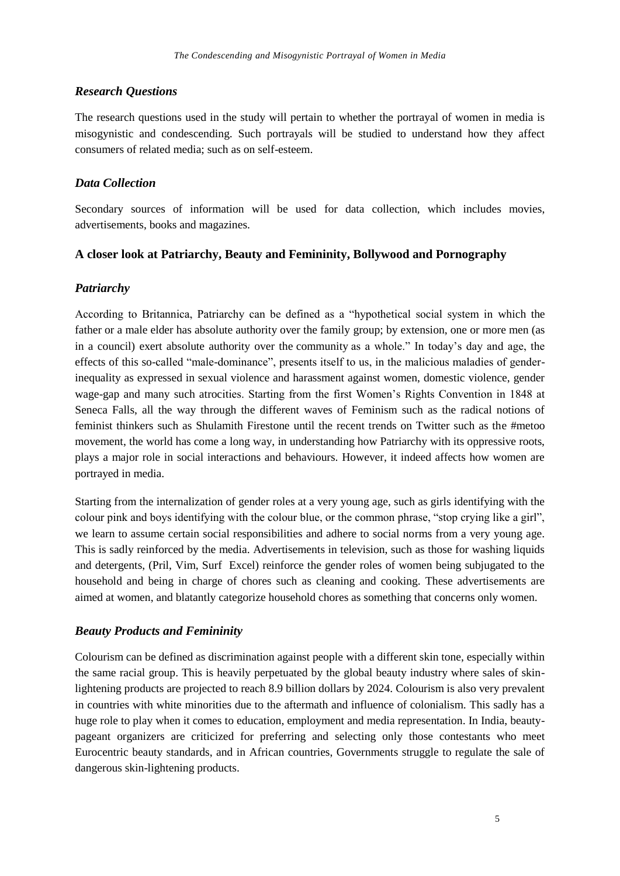## *Research Questions*

The research questions used in the study will pertain to whether the portrayal of women in media is misogynistic and condescending. Such portrayals will be studied to understand how they affect consumers of related media; such as on self-esteem.

### *Data Collection*

Secondary sources of information will be used for data collection, which includes movies, advertisements, books and magazines.

#### **A closer look at Patriarchy, Beauty and Femininity, Bollywood and Pornography**

## *Patriarchy*

According to Britannica, Patriarchy can be defined as a "hypothetical social system in which the father or a male elder has absolute authority over the family group; by extension, one or more men (as in a council) exert absolute authority over the [community](https://www.merriam-webster.com/dictionary/community) as a whole." In today's day and age, the effects of this so-called "male-dominance", presents itself to us, in the malicious maladies of genderinequality as expressed in sexual violence and harassment against women, domestic violence, gender wage-gap and many such atrocities. Starting from the first Women's Rights Convention in 1848 at Seneca Falls, all the way through the different waves of Feminism such as the radical notions of feminist thinkers such as Shulamith Firestone until the recent trends on Twitter such as the #metoo movement, the world has come a long way, in understanding how Patriarchy with its oppressive roots, plays a major role in social interactions and behaviours. However, it indeed affects how women are portrayed in media.

Starting from the internalization of gender roles at a very young age, such as girls identifying with the colour pink and boys identifying with the colour blue, or the common phrase, "stop crying like a girl", we learn to assume certain social responsibilities and adhere to social norms from a very young age. This is sadly reinforced by the media. Advertisements in television, such as those for washing liquids and detergents, (Pril, Vim, Surf Excel) reinforce the gender roles of women being subjugated to the household and being in charge of chores such as cleaning and cooking. These advertisements are aimed at women, and blatantly categorize household chores as something that concerns only women.

# *Beauty Products and Femininity*

Colourism can be defined as discrimination against people with a different skin tone, especially within the same racial group. This is heavily perpetuated by the global beauty industry where sales of skinlightening products are projected to reach 8.9 billion dollars by 2024. Colourism is also very prevalent in countries with white minorities due to the aftermath and influence of colonialism. This sadly has a huge role to play when it comes to education, employment and media representation. In India, beautypageant organizers are criticized for preferring and selecting only those contestants who meet Eurocentric beauty standards, and in African countries, Governments struggle to regulate the sale of dangerous skin-lightening products.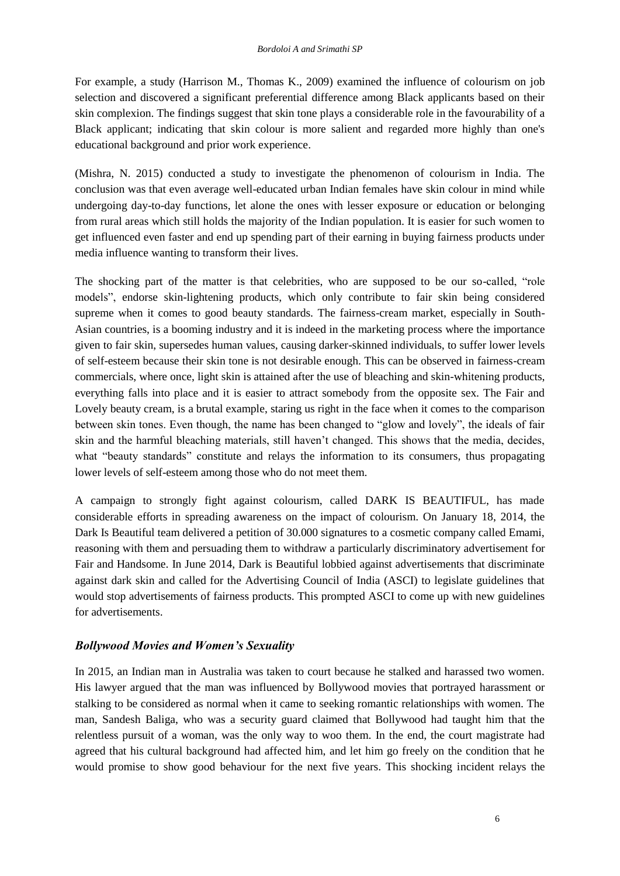For example, a study (Harrison M., Thomas K., 2009) examined the influence of colourism on job selection and discovered a significant preferential difference among Black applicants based on their skin complexion. The findings suggest that skin tone plays a considerable role in the favourability of a Black applicant; indicating that skin colour is more salient and regarded more highly than one's educational background and prior work experience.

(Mishra, N. 2015) conducted a study to investigate the phenomenon of colourism in India. The conclusion was that even average well-educated urban Indian females have skin colour in mind while undergoing day-to-day functions, let alone the ones with lesser exposure or education or belonging from rural areas which still holds the majority of the Indian population. It is easier for such women to get influenced even faster and end up spending part of their earning in buying fairness products under media influence wanting to transform their lives.

The shocking part of the matter is that celebrities, who are supposed to be our so-called, "role models", endorse skin-lightening products, which only contribute to fair skin being considered supreme when it comes to good beauty standards. The fairness-cream market, especially in South-Asian countries, is a booming industry and it is indeed in the marketing process where the importance given to fair skin, supersedes human values, causing darker-skinned individuals, to suffer lower levels of self-esteem because their skin tone is not desirable enough. This can be observed in fairness-cream commercials, where once, light skin is attained after the use of bleaching and skin-whitening products, everything falls into place and it is easier to attract somebody from the opposite sex. The Fair and Lovely beauty cream, is a brutal example, staring us right in the face when it comes to the comparison between skin tones. Even though, the name has been changed to "glow and lovely", the ideals of fair skin and the harmful bleaching materials, still haven't changed. This shows that the media, decides, what "beauty standards" constitute and relays the information to its consumers, thus propagating lower levels of self-esteem among those who do not meet them.

A campaign to strongly fight against colourism, called DARK IS BEAUTIFUL, has made considerable efforts in spreading awareness on the impact of colourism. On January 18, 2014, the Dark Is Beautiful team delivered a petition of 30.000 signatures to a cosmetic company called Emami, reasoning with them and persuading them to withdraw a particularly discriminatory advertisement for Fair and Handsome. In June 2014, Dark is Beautiful lobbied against advertisements that discriminate against dark skin and called for the Advertising Council of India (ASCI) to legislate guidelines that would stop advertisements of fairness products. This prompted ASCI to come up with new guidelines for advertisements.

# *Bollywood Movies and Women's Sexuality*

In 2015, an Indian man in Australia was taken to court because he stalked and harassed two women. His lawyer argued that the man was influenced by Bollywood movies that portrayed harassment or stalking to be considered as normal when it came to seeking romantic relationships with women. The man, Sandesh Baliga, who was a security guard claimed that Bollywood had taught him that the relentless pursuit of a woman, was the only way to woo them. In the end, the court magistrate had agreed that his cultural background had affected him, and let him go freely on the condition that he would promise to show good behaviour for the next five years. This shocking incident relays the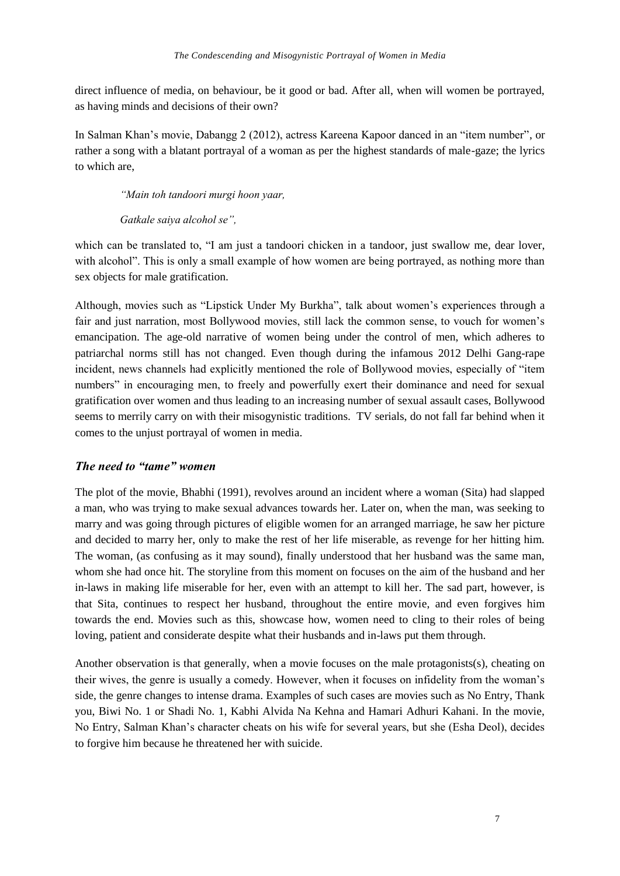direct influence of media, on behaviour, be it good or bad. After all, when will women be portrayed, as having minds and decisions of their own?

In Salman Khan's movie, Dabangg 2 (2012), actress Kareena Kapoor danced in an "item number", or rather a song with a blatant portrayal of a woman as per the highest standards of male-gaze; the lyrics to which are,

*"Main toh tandoori murgi hoon yaar,*

*Gatkale saiya alcohol se",*

which can be translated to, "I am just a tandoori chicken in a tandoor, just swallow me, dear lover, with alcohol". This is only a small example of how women are being portrayed, as nothing more than sex objects for male gratification.

Although, movies such as "Lipstick Under My Burkha", talk about women's experiences through a fair and just narration, most Bollywood movies, still lack the common sense, to vouch for women's emancipation. The age-old narrative of women being under the control of men, which adheres to patriarchal norms still has not changed. Even though during the infamous 2012 Delhi Gang-rape incident, news channels had explicitly mentioned the role of Bollywood movies, especially of "item numbers" in encouraging men, to freely and powerfully exert their dominance and need for sexual gratification over women and thus leading to an increasing number of sexual assault cases, Bollywood seems to merrily carry on with their misogynistic traditions. TV serials, do not fall far behind when it comes to the unjust portrayal of women in media.

#### *The need to "tame" women*

The plot of the movie, Bhabhi (1991), revolves around an incident where a woman (Sita) had slapped a man, who was trying to make sexual advances towards her. Later on, when the man, was seeking to marry and was going through pictures of eligible women for an arranged marriage, he saw her picture and decided to marry her, only to make the rest of her life miserable, as revenge for her hitting him. The woman, (as confusing as it may sound), finally understood that her husband was the same man, whom she had once hit. The storyline from this moment on focuses on the aim of the husband and her in-laws in making life miserable for her, even with an attempt to kill her. The sad part, however, is that Sita, continues to respect her husband, throughout the entire movie, and even forgives him towards the end. Movies such as this, showcase how, women need to cling to their roles of being loving, patient and considerate despite what their husbands and in-laws put them through.

Another observation is that generally, when a movie focuses on the male protagonists(s), cheating on their wives, the genre is usually a comedy. However, when it focuses on infidelity from the woman's side, the genre changes to intense drama. Examples of such cases are movies such as No Entry, Thank you, Biwi No. 1 or Shadi No. 1, Kabhi Alvida Na Kehna and Hamari Adhuri Kahani. In the movie, No Entry, Salman Khan's character cheats on his wife for several years, but she (Esha Deol), decides to forgive him because he threatened her with suicide.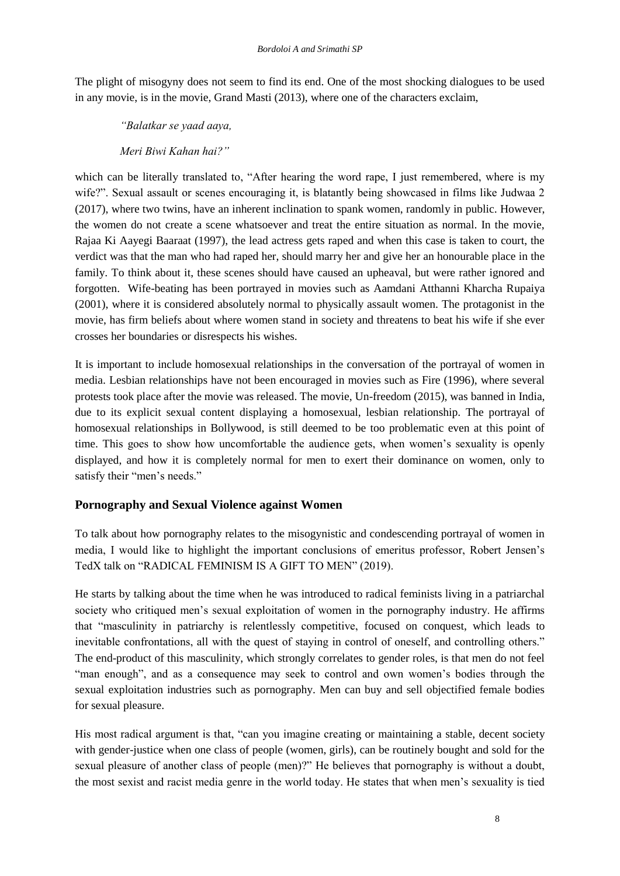The plight of misogyny does not seem to find its end. One of the most shocking dialogues to be used in any movie, is in the movie, Grand Masti (2013), where one of the characters exclaim,

*"Balatkar se yaad aaya,*

# *Meri Biwi Kahan hai?"*

which can be literally translated to, "After hearing the word rape, I just remembered, where is my wife?". Sexual assault or scenes encouraging it, is blatantly being showcased in films like Judwaa 2 (2017), where two twins, have an inherent inclination to spank women, randomly in public. However, the women do not create a scene whatsoever and treat the entire situation as normal. In the movie, Rajaa Ki Aayegi Baaraat (1997), the lead actress gets raped and when this case is taken to court, the verdict was that the man who had raped her, should marry her and give her an honourable place in the family. To think about it, these scenes should have caused an upheaval, but were rather ignored and forgotten. Wife-beating has been portrayed in movies such as Aamdani Atthanni Kharcha Rupaiya (2001), where it is considered absolutely normal to physically assault women. The protagonist in the movie, has firm beliefs about where women stand in society and threatens to beat his wife if she ever crosses her boundaries or disrespects his wishes.

It is important to include homosexual relationships in the conversation of the portrayal of women in media. Lesbian relationships have not been encouraged in movies such as Fire (1996), where several protests took place after the movie was released. The movie, Un-freedom (2015), was banned in India, due to its explicit sexual content displaying a homosexual, lesbian relationship. The portrayal of homosexual relationships in Bollywood, is still deemed to be too problematic even at this point of time. This goes to show how uncomfortable the audience gets, when women's sexuality is openly displayed, and how it is completely normal for men to exert their dominance on women, only to satisfy their "men's needs."

# **Pornography and Sexual Violence against Women**

To talk about how pornography relates to the misogynistic and condescending portrayal of women in media, I would like to highlight the important conclusions of emeritus professor, Robert Jensen's TedX talk on "RADICAL FEMINISM IS A GIFT TO MEN" (2019).

He starts by talking about the time when he was introduced to radical feminists living in a patriarchal society who critiqued men's sexual exploitation of women in the pornography industry. He affirms that "masculinity in patriarchy is relentlessly competitive, focused on conquest, which leads to inevitable confrontations, all with the quest of staying in control of oneself, and controlling others." The end-product of this masculinity, which strongly correlates to gender roles, is that men do not feel "man enough", and as a consequence may seek to control and own women's bodies through the sexual exploitation industries such as pornography. Men can buy and sell objectified female bodies for sexual pleasure.

His most radical argument is that, "can you imagine creating or maintaining a stable, decent society with gender-justice when one class of people (women, girls), can be routinely bought and sold for the sexual pleasure of another class of people (men)?" He believes that pornography is without a doubt, the most sexist and racist media genre in the world today. He states that when men's sexuality is tied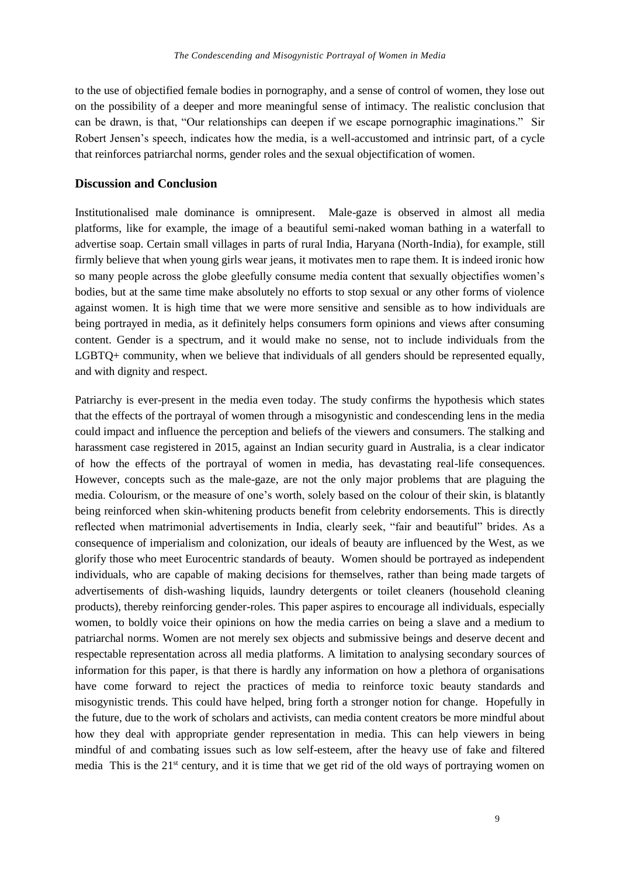to the use of objectified female bodies in pornography, and a sense of control of women, they lose out on the possibility of a deeper and more meaningful sense of intimacy. The realistic conclusion that can be drawn, is that, "Our relationships can deepen if we escape pornographic imaginations." Sir Robert Jensen's speech, indicates how the media, is a well-accustomed and intrinsic part, of a cycle that reinforces patriarchal norms, gender roles and the sexual objectification of women.

#### **Discussion and Conclusion**

Institutionalised male dominance is omnipresent. Male-gaze is observed in almost all media platforms, like for example, the image of a beautiful semi-naked woman bathing in a waterfall to advertise soap. Certain small villages in parts of rural India, Haryana (North-India), for example, still firmly believe that when young girls wear jeans, it motivates men to rape them. It is indeed ironic how so many people across the globe gleefully consume media content that sexually objectifies women's bodies, but at the same time make absolutely no efforts to stop sexual or any other forms of violence against women. It is high time that we were more sensitive and sensible as to how individuals are being portrayed in media, as it definitely helps consumers form opinions and views after consuming content. Gender is a spectrum, and it would make no sense, not to include individuals from the LGBTQ+ community, when we believe that individuals of all genders should be represented equally, and with dignity and respect.

Patriarchy is ever-present in the media even today. The study confirms the hypothesis which states that the effects of the portrayal of women through a misogynistic and condescending lens in the media could impact and influence the perception and beliefs of the viewers and consumers. The stalking and harassment case registered in 2015, against an Indian security guard in Australia, is a clear indicator of how the effects of the portrayal of women in media, has devastating real-life consequences. However, concepts such as the male-gaze, are not the only major problems that are plaguing the media. Colourism, or the measure of one's worth, solely based on the colour of their skin, is blatantly being reinforced when skin-whitening products benefit from celebrity endorsements. This is directly reflected when matrimonial advertisements in India, clearly seek, "fair and beautiful" brides. As a consequence of imperialism and colonization, our ideals of beauty are influenced by the West, as we glorify those who meet Eurocentric standards of beauty. Women should be portrayed as independent individuals, who are capable of making decisions for themselves, rather than being made targets of advertisements of dish-washing liquids, laundry detergents or toilet cleaners (household cleaning products), thereby reinforcing gender-roles. This paper aspires to encourage all individuals, especially women, to boldly voice their opinions on how the media carries on being a slave and a medium to patriarchal norms. Women are not merely sex objects and submissive beings and deserve decent and respectable representation across all media platforms. A limitation to analysing secondary sources of information for this paper, is that there is hardly any information on how a plethora of organisations have come forward to reject the practices of media to reinforce toxic beauty standards and misogynistic trends. This could have helped, bring forth a stronger notion for change. Hopefully in the future, due to the work of scholars and activists, can media content creators be more mindful about how they deal with appropriate gender representation in media. This can help viewers in being mindful of and combating issues such as low self-esteem, after the heavy use of fake and filtered media This is the  $21<sup>st</sup>$  century, and it is time that we get rid of the old ways of portraying women on